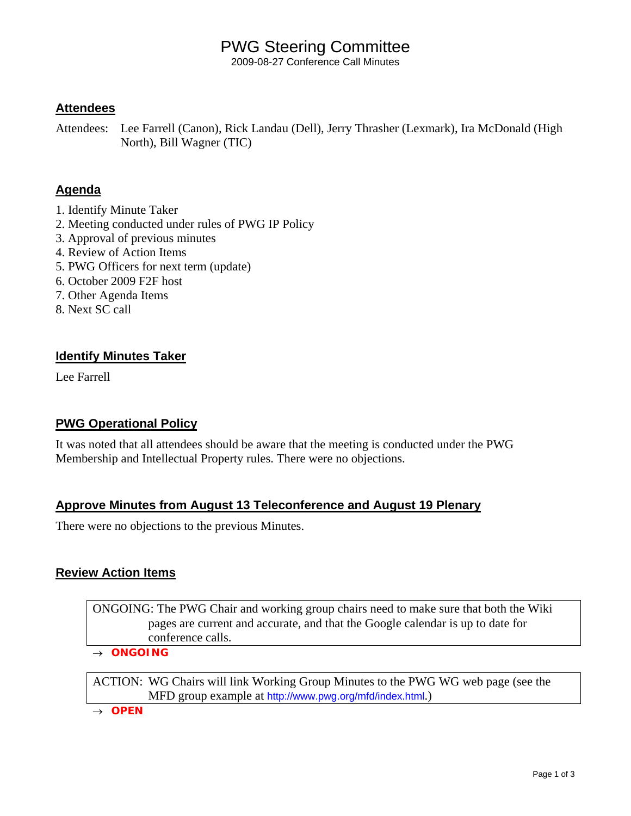## PWG Steering Committee

2009-08-27 Conference Call Minutes

### **Attendees**

Attendees: Lee Farrell (Canon), Rick Landau (Dell), Jerry Thrasher (Lexmark), Ira McDonald (High North), Bill Wagner (TIC)

### **Agenda**

- 1. Identify Minute Taker
- 2. Meeting conducted under rules of PWG IP Policy
- 3. Approval of previous minutes
- 4. Review of Action Items
- 5. PWG Officers for next term (update)
- 6. October 2009 F2F host
- 7. Other Agenda Items
- 8. Next SC call

### **Identify Minutes Taker**

Lee Farrell

#### **PWG Operational Policy**

It was noted that all attendees should be aware that the meeting is conducted under the PWG Membership and Intellectual Property rules. There were no objections.

### **Approve Minutes from August 13 Teleconference and August 19 Plenary**

There were no objections to the previous Minutes.

#### **Review Action Items**

ONGOING: The PWG Chair and working group chairs need to make sure that both the Wiki pages are current and accurate, and that the Google calendar is up to date for conference calls.

→ *ONGOING* 

ACTION: WG Chairs will link Working Group Minutes to the PWG WG web page (see the MFD group example at <http://www.pwg.org/mfd/index.html>.)

→ *OPEN*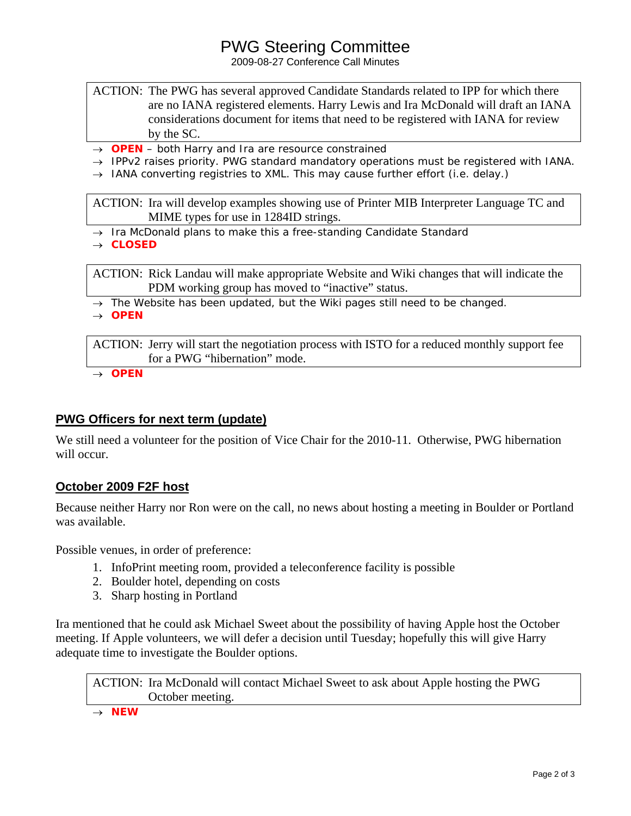## PWG Steering Committee

2009-08-27 Conference Call Minutes

- ACTION: The PWG has several approved Candidate Standards related to IPP for which there are no IANA registered elements. Harry Lewis and Ira McDonald will draft an IANA considerations document for items that need to be registered with IANA for review by the SC.
- → *OPEN both Harry and Ira are resource constrained*
- → *IPPv2 raises priority. PWG standard mandatory operations must be registered with IANA.*
- → *IANA converting registries to XML. This may cause further effort (i.e. delay.)*

ACTION: Ira will develop examples showing use of Printer MIB Interpreter Language TC and MIME types for use in 1284ID strings.

- → *Ira McDonald plans to make this a free-standing Candidate Standard*
- → *CLOSED*

ACTION: Rick Landau will make appropriate Website and Wiki changes that will indicate the PDM working group has moved to "inactive" status.

- → *The Website has been updated, but the Wiki pages still need to be changed.*
- → *OPEN*

ACTION: Jerry will start the negotiation process with ISTO for a reduced monthly support fee for a PWG "hibernation" mode.

→ *OPEN*

### **PWG Officers for next term (update)**

We still need a volunteer for the position of Vice Chair for the 2010-11. Otherwise, PWG hibernation will occur.

### **October 2009 F2F host**

Because neither Harry nor Ron were on the call, no news about hosting a meeting in Boulder or Portland was available.

Possible venues, in order of preference:

- 1. InfoPrint meeting room, provided a teleconference facility is possible
- 2. Boulder hotel, depending on costs
- 3. Sharp hosting in Portland

Ira mentioned that he could ask Michael Sweet about the possibility of having Apple host the October meeting. If Apple volunteers, we will defer a decision until Tuesday; hopefully this will give Harry adequate time to investigate the Boulder options.

ACTION: Ira McDonald will contact Michael Sweet to ask about Apple hosting the PWG October meeting.

→ *NEW*